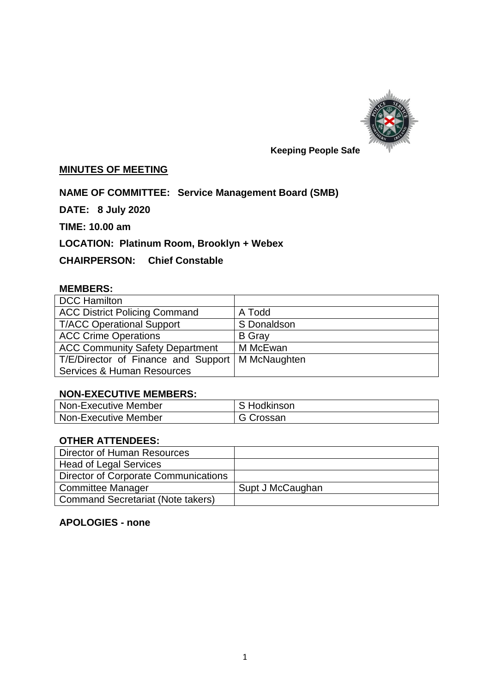

#### **MINUTES OF MEETING**

# **NAME OF COMMITTEE: Service Management Board (SMB)**

**DATE: 8 July 2020**

**TIME: 10.00 am**

**LOCATION: Platinum Room, Brooklyn + Webex**

## **CHAIRPERSON: Chief Constable**

#### **MEMBERS:**

| <b>DCC Hamilton</b>                    |               |
|----------------------------------------|---------------|
| <b>ACC District Policing Command</b>   | A Todd        |
| <b>T/ACC Operational Support</b>       | S Donaldson   |
| <b>ACC Crime Operations</b>            | <b>B</b> Gray |
| <b>ACC Community Safety Department</b> | M McEwan      |
| T/E/Director of Finance and Support    | M McNaughten  |
| <b>Services &amp; Human Resources</b>  |               |

#### **NON-EXECUTIVE MEMBERS:**

| Non-Executive Member | S Hodkinson |
|----------------------|-------------|
| Non-Executive Member | G Crossan   |

## **OTHER ATTENDEES:**

| Director of Human Resources              |                  |
|------------------------------------------|------------------|
| <b>Head of Legal Services</b>            |                  |
| Director of Corporate Communications     |                  |
| <b>Committee Manager</b>                 | Supt J McCaughan |
| <b>Command Secretariat (Note takers)</b> |                  |

# **APOLOGIES - none**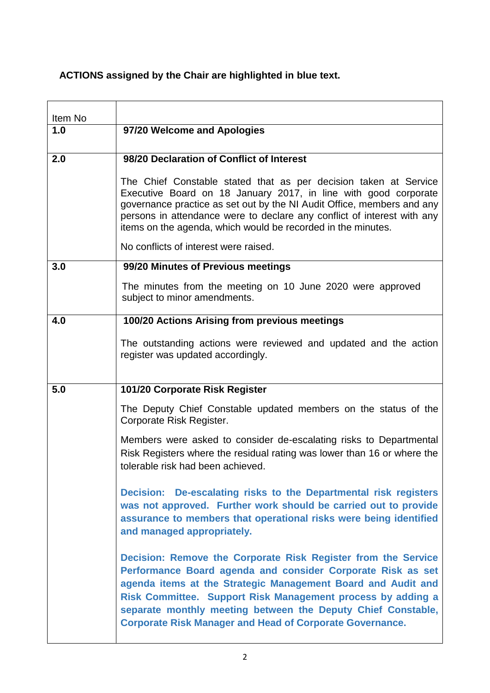# **ACTIONS assigned by the Chair are highlighted in blue text.**

| Item No |                                                                                                                                                                                                                                                                                                                                                                                                |
|---------|------------------------------------------------------------------------------------------------------------------------------------------------------------------------------------------------------------------------------------------------------------------------------------------------------------------------------------------------------------------------------------------------|
| 1.0     | 97/20 Welcome and Apologies                                                                                                                                                                                                                                                                                                                                                                    |
| 2.0     | 98/20 Declaration of Conflict of Interest                                                                                                                                                                                                                                                                                                                                                      |
|         | The Chief Constable stated that as per decision taken at Service<br>Executive Board on 18 January 2017, in line with good corporate<br>governance practice as set out by the NI Audit Office, members and any<br>persons in attendance were to declare any conflict of interest with any<br>items on the agenda, which would be recorded in the minutes.                                       |
|         | No conflicts of interest were raised.                                                                                                                                                                                                                                                                                                                                                          |
| 3.0     | 99/20 Minutes of Previous meetings                                                                                                                                                                                                                                                                                                                                                             |
|         | The minutes from the meeting on 10 June 2020 were approved<br>subject to minor amendments.                                                                                                                                                                                                                                                                                                     |
| 4.0     | 100/20 Actions Arising from previous meetings                                                                                                                                                                                                                                                                                                                                                  |
|         | The outstanding actions were reviewed and updated and the action<br>register was updated accordingly.                                                                                                                                                                                                                                                                                          |
| 5.0     | 101/20 Corporate Risk Register                                                                                                                                                                                                                                                                                                                                                                 |
|         | The Deputy Chief Constable updated members on the status of the<br>Corporate Risk Register.                                                                                                                                                                                                                                                                                                    |
|         | Members were asked to consider de-escalating risks to Departmental<br>Risk Registers where the residual rating was lower than 16 or where the<br>tolerable risk had been achieved.                                                                                                                                                                                                             |
|         | Decision: De-escalating risks to the Departmental risk registers<br>was not approved. Further work should be carried out to provide<br>assurance to members that operational risks were being identified<br>and managed appropriately.                                                                                                                                                         |
|         | Decision: Remove the Corporate Risk Register from the Service<br>Performance Board agenda and consider Corporate Risk as set<br>agenda items at the Strategic Management Board and Audit and<br>Risk Committee. Support Risk Management process by adding a<br>separate monthly meeting between the Deputy Chief Constable,<br><b>Corporate Risk Manager and Head of Corporate Governance.</b> |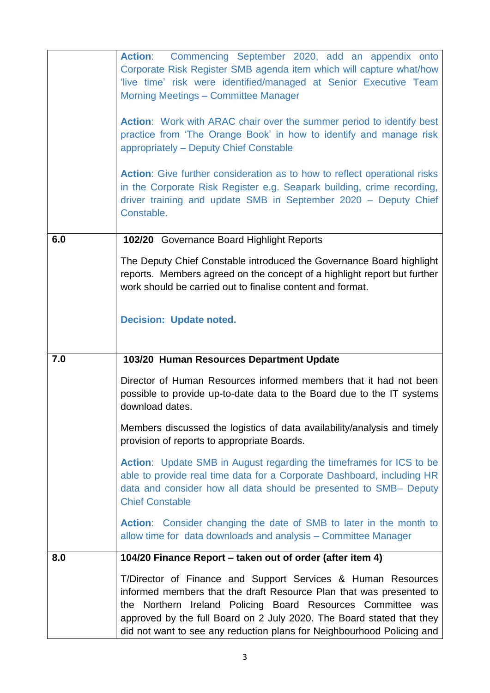|     | Action: Commencing September 2020, add an appendix onto<br>Corporate Risk Register SMB agenda item which will capture what/how<br>'live time' risk were identified/managed at Senior Executive Team<br><b>Morning Meetings - Committee Manager</b><br><b>Action:</b> Work with ARAC chair over the summer period to identify best<br>practice from 'The Orange Book' in how to identify and manage risk<br>appropriately - Deputy Chief Constable<br><b>Action:</b> Give further consideration as to how to reflect operational risks |
|-----|---------------------------------------------------------------------------------------------------------------------------------------------------------------------------------------------------------------------------------------------------------------------------------------------------------------------------------------------------------------------------------------------------------------------------------------------------------------------------------------------------------------------------------------|
|     | in the Corporate Risk Register e.g. Seapark building, crime recording,<br>driver training and update SMB in September 2020 - Deputy Chief<br>Constable.                                                                                                                                                                                                                                                                                                                                                                               |
| 6.0 | 102/20 Governance Board Highlight Reports                                                                                                                                                                                                                                                                                                                                                                                                                                                                                             |
|     | The Deputy Chief Constable introduced the Governance Board highlight<br>reports. Members agreed on the concept of a highlight report but further<br>work should be carried out to finalise content and format.                                                                                                                                                                                                                                                                                                                        |
|     | <b>Decision: Update noted.</b>                                                                                                                                                                                                                                                                                                                                                                                                                                                                                                        |
| 7.0 | 103/20 Human Resources Department Update                                                                                                                                                                                                                                                                                                                                                                                                                                                                                              |
|     | Director of Human Resources informed members that it had not been<br>possible to provide up-to-date data to the Board due to the IT systems<br>download dates.                                                                                                                                                                                                                                                                                                                                                                        |
|     | Members discussed the logistics of data availability/analysis and timely<br>provision of reports to appropriate Boards.                                                                                                                                                                                                                                                                                                                                                                                                               |
|     | <b>Action:</b> Update SMB in August regarding the timeframes for ICS to be<br>able to provide real time data for a Corporate Dashboard, including HR<br>data and consider how all data should be presented to SMB- Deputy<br><b>Chief Constable</b>                                                                                                                                                                                                                                                                                   |
|     | <b>Action:</b> Consider changing the date of SMB to later in the month to<br>allow time for data downloads and analysis - Committee Manager                                                                                                                                                                                                                                                                                                                                                                                           |
| 8.0 | 104/20 Finance Report - taken out of order (after item 4)                                                                                                                                                                                                                                                                                                                                                                                                                                                                             |
|     | T/Director of Finance and Support Services & Human Resources<br>informed members that the draft Resource Plan that was presented to<br>the Northern Ireland Policing Board Resources Committee was<br>approved by the full Board on 2 July 2020. The Board stated that they<br>did not want to see any reduction plans for Neighbourhood Policing and                                                                                                                                                                                 |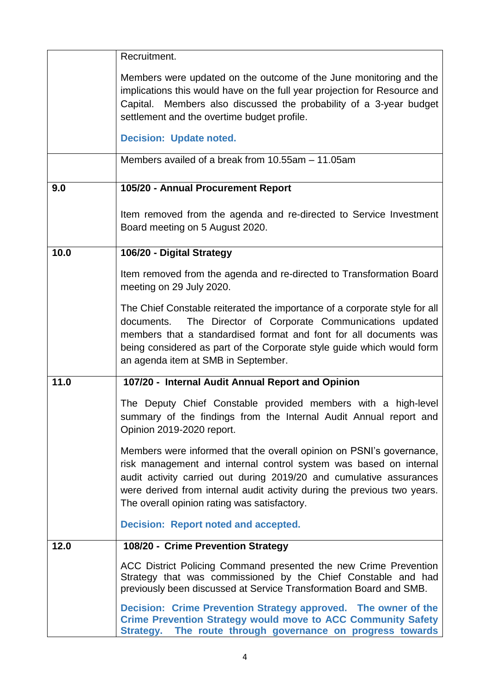|      | Recruitment.                                                                                                                                                                                                                                                                                                                                 |
|------|----------------------------------------------------------------------------------------------------------------------------------------------------------------------------------------------------------------------------------------------------------------------------------------------------------------------------------------------|
|      | Members were updated on the outcome of the June monitoring and the<br>implications this would have on the full year projection for Resource and<br>Capital. Members also discussed the probability of a 3-year budget<br>settlement and the overtime budget profile.                                                                         |
|      | <b>Decision: Update noted.</b>                                                                                                                                                                                                                                                                                                               |
|      | Members availed of a break from 10.55am - 11.05am                                                                                                                                                                                                                                                                                            |
| 9.0  | 105/20 - Annual Procurement Report                                                                                                                                                                                                                                                                                                           |
|      | Item removed from the agenda and re-directed to Service Investment<br>Board meeting on 5 August 2020.                                                                                                                                                                                                                                        |
| 10.0 | 106/20 - Digital Strategy                                                                                                                                                                                                                                                                                                                    |
|      | Item removed from the agenda and re-directed to Transformation Board<br>meeting on 29 July 2020.                                                                                                                                                                                                                                             |
|      | The Chief Constable reiterated the importance of a corporate style for all<br>The Director of Corporate Communications updated<br>documents.<br>members that a standardised format and font for all documents was<br>being considered as part of the Corporate style guide which would form<br>an agenda item at SMB in September.           |
| 11.0 | 107/20 - Internal Audit Annual Report and Opinion                                                                                                                                                                                                                                                                                            |
|      | The Deputy Chief Constable provided members with a high-level<br>summary of the findings from the Internal Audit Annual report and<br>Opinion 2019-2020 report.                                                                                                                                                                              |
|      | Members were informed that the overall opinion on PSNI's governance,<br>risk management and internal control system was based on internal<br>audit activity carried out during 2019/20 and cumulative assurances<br>were derived from internal audit activity during the previous two years.<br>The overall opinion rating was satisfactory. |
|      | <b>Decision: Report noted and accepted.</b>                                                                                                                                                                                                                                                                                                  |
| 12.0 | 108/20 - Crime Prevention Strategy                                                                                                                                                                                                                                                                                                           |
|      | ACC District Policing Command presented the new Crime Prevention<br>Strategy that was commissioned by the Chief Constable and had<br>previously been discussed at Service Transformation Board and SMB.                                                                                                                                      |
|      | Decision: Crime Prevention Strategy approved. The owner of the<br><b>Crime Prevention Strategy would move to ACC Community Safety</b><br>Strategy. The route through governance on progress towards                                                                                                                                          |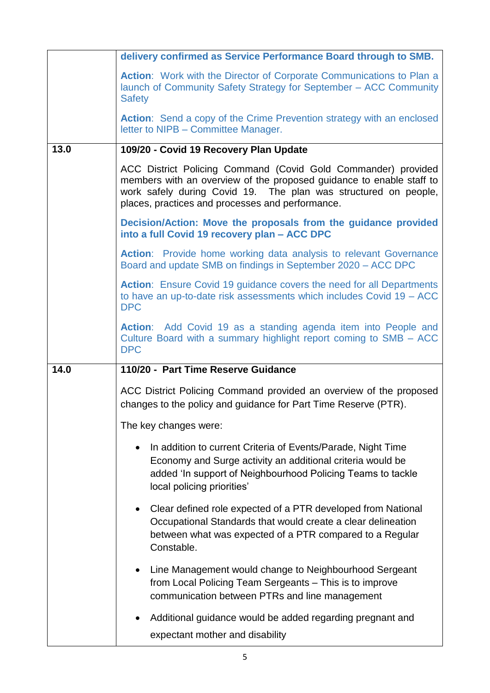|      | delivery confirmed as Service Performance Board through to SMB.                                                                                                                                                                                              |
|------|--------------------------------------------------------------------------------------------------------------------------------------------------------------------------------------------------------------------------------------------------------------|
|      | <b>Action:</b> Work with the Director of Corporate Communications to Plan a<br>launch of Community Safety Strategy for September - ACC Community<br><b>Safety</b>                                                                                            |
|      | <b>Action:</b> Send a copy of the Crime Prevention strategy with an enclosed<br>letter to NIPB - Committee Manager.                                                                                                                                          |
| 13.0 | 109/20 - Covid 19 Recovery Plan Update                                                                                                                                                                                                                       |
|      | ACC District Policing Command (Covid Gold Commander) provided<br>members with an overview of the proposed guidance to enable staff to<br>work safely during Covid 19. The plan was structured on people,<br>places, practices and processes and performance. |
|      | Decision/Action: Move the proposals from the guidance provided<br>into a full Covid 19 recovery plan - ACC DPC                                                                                                                                               |
|      | Action: Provide home working data analysis to relevant Governance<br>Board and update SMB on findings in September 2020 - ACC DPC                                                                                                                            |
|      | Action: Ensure Covid 19 guidance covers the need for all Departments<br>to have an up-to-date risk assessments which includes Covid 19 - ACC<br><b>DPC</b>                                                                                                   |
|      | Action: Add Covid 19 as a standing agenda item into People and<br>Culture Board with a summary highlight report coming to SMB - ACC<br><b>DPC</b>                                                                                                            |
| 14.0 | 110/20 - Part Time Reserve Guidance                                                                                                                                                                                                                          |
|      | ACC District Policing Command provided an overview of the proposed<br>changes to the policy and guidance for Part Time Reserve (PTR).                                                                                                                        |
|      | The key changes were:                                                                                                                                                                                                                                        |
|      | In addition to current Criteria of Events/Parade, Night Time<br>Economy and Surge activity an additional criteria would be<br>added 'In support of Neighbourhood Policing Teams to tackle                                                                    |
|      | local policing priorities'                                                                                                                                                                                                                                   |
|      | Clear defined role expected of a PTR developed from National<br>Occupational Standards that would create a clear delineation<br>between what was expected of a PTR compared to a Regular<br>Constable.                                                       |
|      | Line Management would change to Neighbourhood Sergeant<br>from Local Policing Team Sergeants - This is to improve<br>communication between PTRs and line management                                                                                          |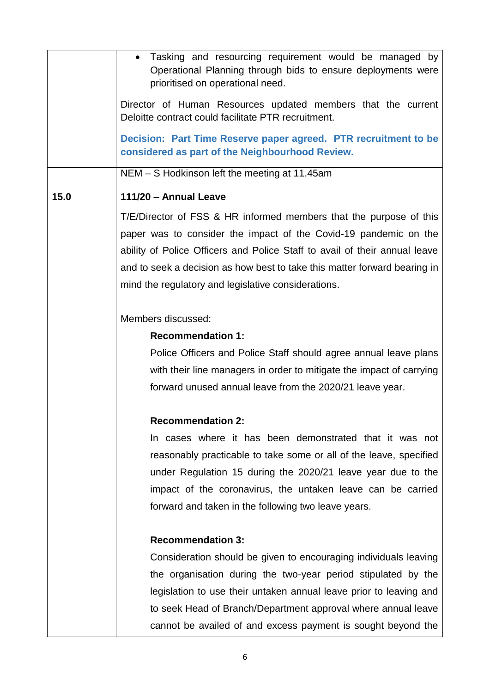|      | Tasking and resourcing requirement would be managed by<br>Operational Planning through bids to ensure deployments were<br>prioritised on operational need. |
|------|------------------------------------------------------------------------------------------------------------------------------------------------------------|
|      | Director of Human Resources updated members that the current<br>Deloitte contract could facilitate PTR recruitment.                                        |
|      | Decision: Part Time Reserve paper agreed. PTR recruitment to be<br>considered as part of the Neighbourhood Review.                                         |
|      | NEM - S Hodkinson left the meeting at 11.45am                                                                                                              |
| 15.0 | 111/20 - Annual Leave                                                                                                                                      |
|      | T/E/Director of FSS & HR informed members that the purpose of this                                                                                         |
|      | paper was to consider the impact of the Covid-19 pandemic on the                                                                                           |
|      | ability of Police Officers and Police Staff to avail of their annual leave                                                                                 |
|      | and to seek a decision as how best to take this matter forward bearing in                                                                                  |
|      | mind the regulatory and legislative considerations.                                                                                                        |
|      |                                                                                                                                                            |
|      | Members discussed:                                                                                                                                         |
|      | <b>Recommendation 1:</b>                                                                                                                                   |
|      | Police Officers and Police Staff should agree annual leave plans                                                                                           |
|      | with their line managers in order to mitigate the impact of carrying                                                                                       |
|      | forward unused annual leave from the 2020/21 leave year.                                                                                                   |
|      | <b>Recommendation 2:</b>                                                                                                                                   |
|      | In cases where it has been demonstrated that it was not                                                                                                    |
|      | reasonably practicable to take some or all of the leave, specified                                                                                         |
|      | under Regulation 15 during the 2020/21 leave year due to the                                                                                               |
|      | impact of the coronavirus, the untaken leave can be carried                                                                                                |
|      | forward and taken in the following two leave years.                                                                                                        |
|      | <b>Recommendation 3:</b>                                                                                                                                   |
|      | Consideration should be given to encouraging individuals leaving                                                                                           |
|      | the organisation during the two-year period stipulated by the                                                                                              |
|      | legislation to use their untaken annual leave prior to leaving and                                                                                         |
|      | to seek Head of Branch/Department approval where annual leave                                                                                              |
|      | cannot be availed of and excess payment is sought beyond the                                                                                               |
|      |                                                                                                                                                            |